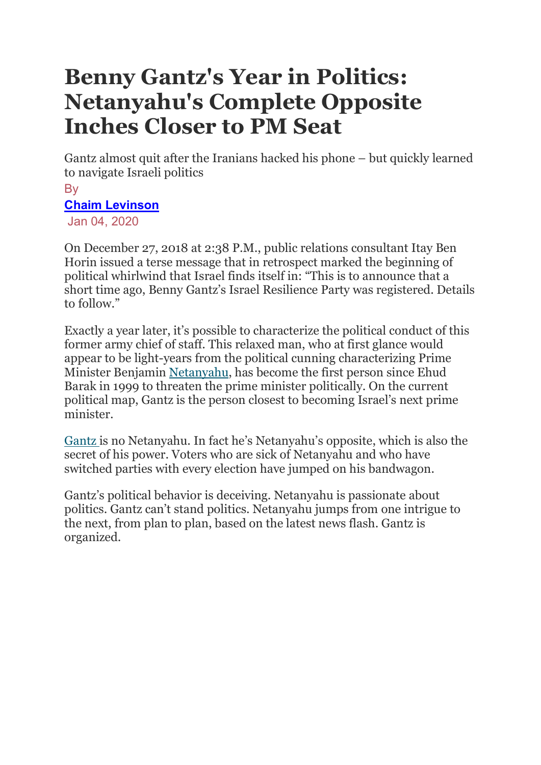# Benny Gantz's Year in Politics: Netanyahu's Complete Opposite Inches Closer to PM Seat

Gantz almost quit after the Iranians hacked his phone – but quickly learned to navigate Israeli politics

#### **B**<sub>v</sub> Chaim Levinson

Jan 04, 2020

On December 27, 2018 at 2:38 P.M., public relations consultant Itay Ben Horin issued a terse message that in retrospect marked the beginning of political whirlwind that Israel finds itself in: "This is to announce that a short time ago, Benny Gantz's Israel Resilience Party was registered. Details to follow."

Exactly a year later, it's possible to characterize the political conduct of this former army chief of staff. This relaxed man, who at first glance would appear to be light-years from the political cunning characterizing Prime Minister Benjamin Netanyahu, has become the first person since Ehud Barak in 1999 to threaten the prime minister politically. On the current political map, Gantz is the person closest to becoming Israel's next prime minister.

Gantz is no Netanyahu. In fact he's Netanyahu's opposite, which is also the secret of his power. Voters who are sick of Netanyahu and who have switched parties with every election have jumped on his bandwagon.

Gantz's political behavior is deceiving. Netanyahu is passionate about politics. Gantz can't stand politics. Netanyahu jumps from one intrigue to the next, from plan to plan, based on the latest news flash. Gantz is organized.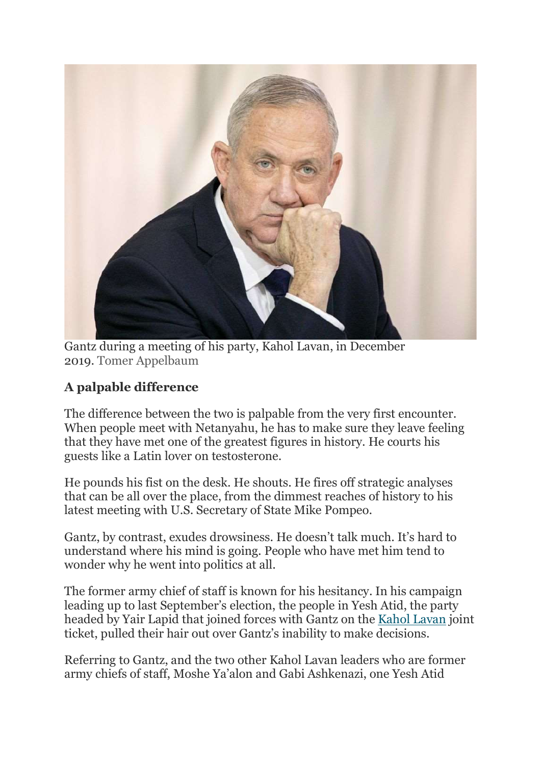

Gantz during a meeting of his party, Kahol Lavan, in December 2019. Tomer Appelbaum

## A palpable difference

The difference between the two is palpable from the very first encounter. When people meet with Netanyahu, he has to make sure they leave feeling that they have met one of the greatest figures in history. He courts his guests like a Latin lover on testosterone.

He pounds his fist on the desk. He shouts. He fires off strategic analyses that can be all over the place, from the dimmest reaches of history to his latest meeting with U.S. Secretary of State Mike Pompeo.

Gantz, by contrast, exudes drowsiness. He doesn't talk much. It's hard to understand where his mind is going. People who have met him tend to wonder why he went into politics at all.

The former army chief of staff is known for his hesitancy. In his campaign leading up to last September's election, the people in Yesh Atid, the party headed by Yair Lapid that joined forces with Gantz on the Kahol Lavan joint ticket, pulled their hair out over Gantz's inability to make decisions.

Referring to Gantz, and the two other Kahol Lavan leaders who are former army chiefs of staff, Moshe Ya'alon and Gabi Ashkenazi, one Yesh Atid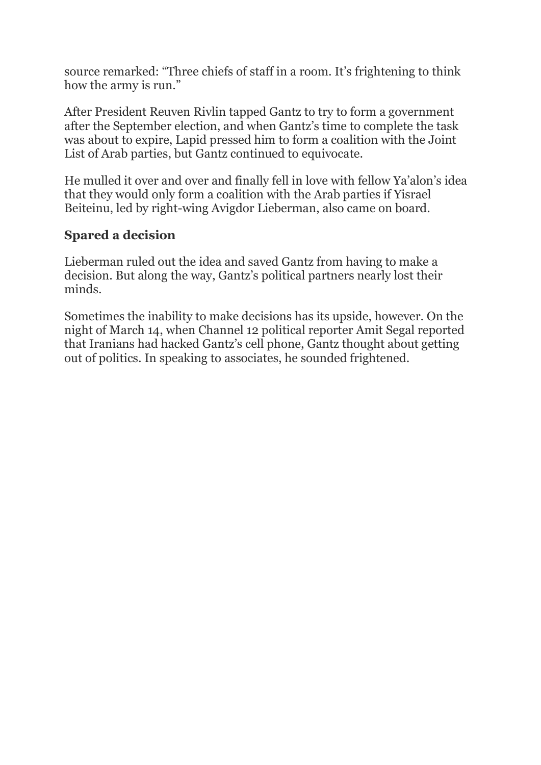source remarked: "Three chiefs of staff in a room. It's frightening to think how the army is run."

After President Reuven Rivlin tapped Gantz to try to form a government after the September election, and when Gantz's time to complete the task was about to expire, Lapid pressed him to form a coalition with the Joint List of Arab parties, but Gantz continued to equivocate.

He mulled it over and over and finally fell in love with fellow Ya'alon's idea that they would only form a coalition with the Arab parties if Yisrael Beiteinu, led by right-wing Avigdor Lieberman, also came on board.

### Spared a decision

Lieberman ruled out the idea and saved Gantz from having to make a decision. But along the way, Gantz's political partners nearly lost their minds.

Sometimes the inability to make decisions has its upside, however. On the night of March 14, when Channel 12 political reporter Amit Segal reported that Iranians had hacked Gantz's cell phone, Gantz thought about getting out of politics. In speaking to associates, he sounded frightened.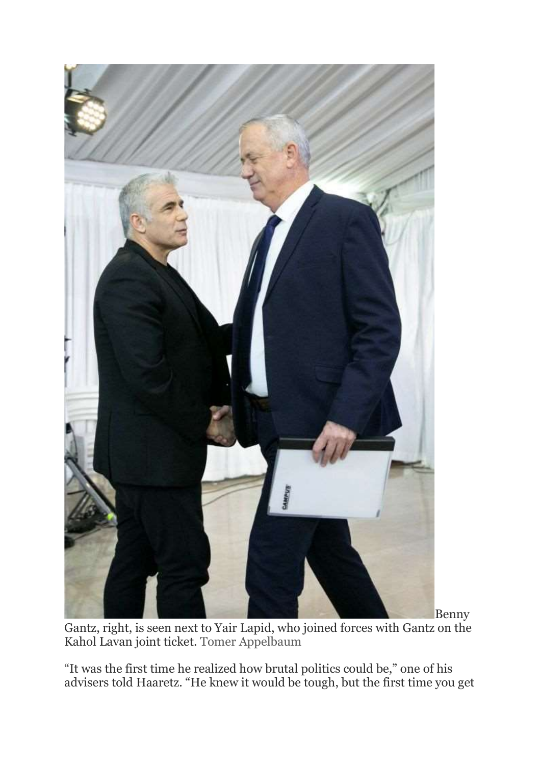

Benny Gantz, right, is seen next to Yair Lapid, who joined forces with Gantz on the Kahol Lavan joint ticket. Tomer Appelbaum

"It was the first time he realized how brutal politics could be," one of his advisers told Haaretz. "He knew it would be tough, but the first time you get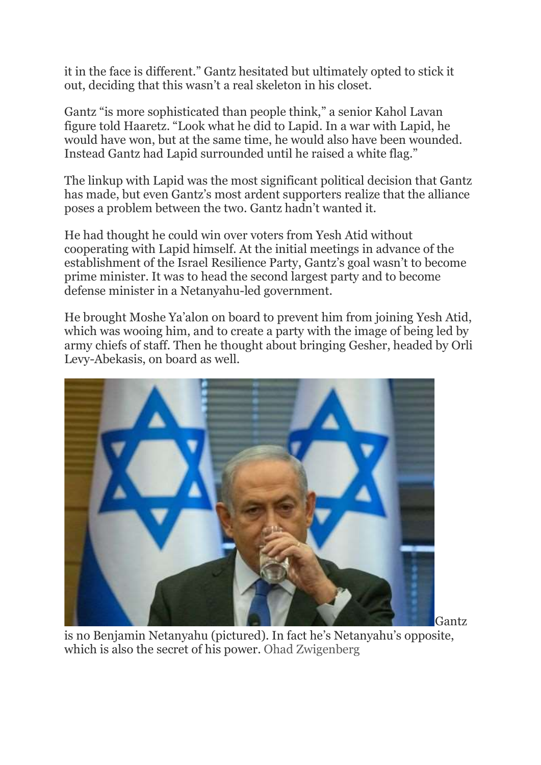it in the face is different." Gantz hesitated but ultimately opted to stick it out, deciding that this wasn't a real skeleton in his closet.

Gantz "is more sophisticated than people think," a senior Kahol Lavan figure told Haaretz. "Look what he did to Lapid. In a war with Lapid, he would have won, but at the same time, he would also have been wounded. Instead Gantz had Lapid surrounded until he raised a white flag."

The linkup with Lapid was the most significant political decision that Gantz has made, but even Gantz's most ardent supporters realize that the alliance poses a problem between the two. Gantz hadn't wanted it.

He had thought he could win over voters from Yesh Atid without cooperating with Lapid himself. At the initial meetings in advance of the establishment of the Israel Resilience Party, Gantz's goal wasn't to become prime minister. It was to head the second largest party and to become defense minister in a Netanyahu-led government.

He brought Moshe Ya'alon on board to prevent him from joining Yesh Atid, which was wooing him, and to create a party with the image of being led by army chiefs of staff. Then he thought about bringing Gesher, headed by Orli Levy-Abekasis, on board as well.



Gantz

is no Benjamin Netanyahu (pictured). In fact he's Netanyahu's opposite, which is also the secret of his power. Ohad Zwigenberg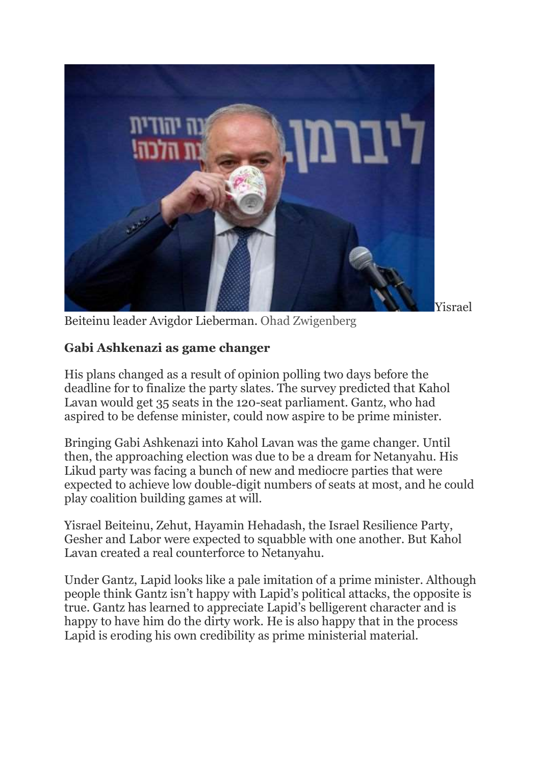

Yisrael

Beiteinu leader Avigdor Lieberman. Ohad Zwigenberg

### Gabi Ashkenazi as game changer

His plans changed as a result of opinion polling two days before the deadline for to finalize the party slates. The survey predicted that Kahol Lavan would get 35 seats in the 120-seat parliament. Gantz, who had aspired to be defense minister, could now aspire to be prime minister.

Bringing Gabi Ashkenazi into Kahol Lavan was the game changer. Until then, the approaching election was due to be a dream for Netanyahu. His Likud party was facing a bunch of new and mediocre parties that were expected to achieve low double-digit numbers of seats at most, and he could play coalition building games at will.

Yisrael Beiteinu, Zehut, Hayamin Hehadash, the Israel Resilience Party, Gesher and Labor were expected to squabble with one another. But Kahol Lavan created a real counterforce to Netanyahu.

Under Gantz, Lapid looks like a pale imitation of a prime minister. Although people think Gantz isn't happy with Lapid's political attacks, the opposite is true. Gantz has learned to appreciate Lapid's belligerent character and is happy to have him do the dirty work. He is also happy that in the process Lapid is eroding his own credibility as prime ministerial material.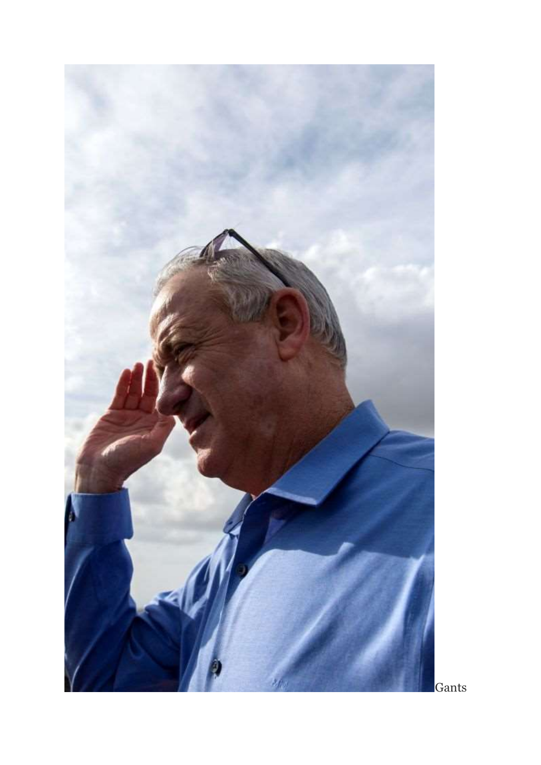

Gants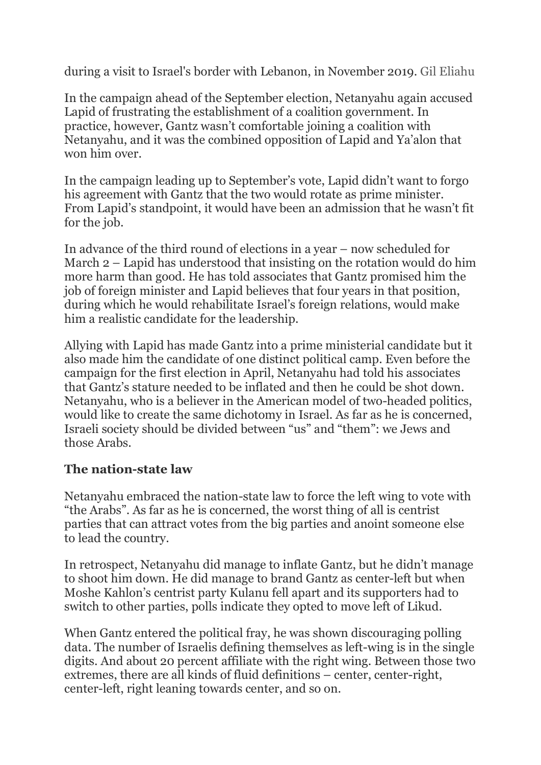during a visit to Israel's border with Lebanon, in November 2019. Gil Eliahu

In the campaign ahead of the September election, Netanyahu again accused Lapid of frustrating the establishment of a coalition government. In practice, however, Gantz wasn't comfortable joining a coalition with Netanyahu, and it was the combined opposition of Lapid and Ya'alon that won him over.

In the campaign leading up to September's vote, Lapid didn't want to forgo his agreement with Gantz that the two would rotate as prime minister. From Lapid's standpoint, it would have been an admission that he wasn't fit for the job.

In advance of the third round of elections in a year – now scheduled for March 2 – Lapid has understood that insisting on the rotation would do him more harm than good. He has told associates that Gantz promised him the job of foreign minister and Lapid believes that four years in that position, during which he would rehabilitate Israel's foreign relations, would make him a realistic candidate for the leadership.

Allying with Lapid has made Gantz into a prime ministerial candidate but it also made him the candidate of one distinct political camp. Even before the campaign for the first election in April, Netanyahu had told his associates that Gantz's stature needed to be inflated and then he could be shot down. Netanyahu, who is a believer in the American model of two-headed politics, would like to create the same dichotomy in Israel. As far as he is concerned, Israeli society should be divided between "us" and "them": we Jews and those Arabs.

### The nation-state law

Netanyahu embraced the nation-state law to force the left wing to vote with "the Arabs". As far as he is concerned, the worst thing of all is centrist parties that can attract votes from the big parties and anoint someone else to lead the country.

In retrospect, Netanyahu did manage to inflate Gantz, but he didn't manage to shoot him down. He did manage to brand Gantz as center-left but when Moshe Kahlon's centrist party Kulanu fell apart and its supporters had to switch to other parties, polls indicate they opted to move left of Likud.

When Gantz entered the political fray, he was shown discouraging polling data. The number of Israelis defining themselves as left-wing is in the single digits. And about 20 percent affiliate with the right wing. Between those two extremes, there are all kinds of fluid definitions – center, center-right, center-left, right leaning towards center, and so on.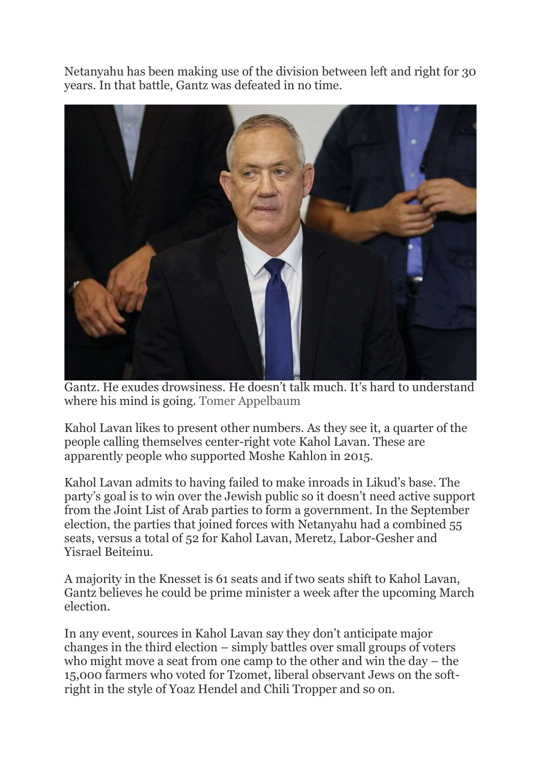Netanyahu has been making use of the division between left and right for 30 years. In that battle, Gantz was defeated in no time.



Gantz. He exudes drowsiness. He doesn't talk much. It's hard to understand where his mind is going. Tomer Appelbaum

Kahol Lavan likes to present other numbers. As they see it, a quarter of the people calling themselves center-right vote Kahol Lavan. These are apparently people who supported Moshe Kahlon in 2015.

Kahol Lavan admits to having failed to make inroads in Likud's base. The party's goal is to win over the Jewish public so it doesn't need active support from the Joint List of Arab parties to form a government. In the September election, the parties that joined forces with Netanyahu had a combined 55 seats, versus a total of 52 for Kahol Lavan, Meretz, Labor-Gesher and Yisrael Beiteinu.

A majority in the Knesset is 61 seats and if two seats shift to Kahol Lavan, Gantz believes he could be prime minister a week after the upcoming March election.

In any event, sources in Kahol Lavan say they don't anticipate major changes in the third election – simply battles over small groups of voters who might move a seat from one camp to the other and win the day – the 15,000 farmers who voted for Tzomet, liberal observant Jews on the softright in the style of Yoaz Hendel and Chili Tropper and so on.